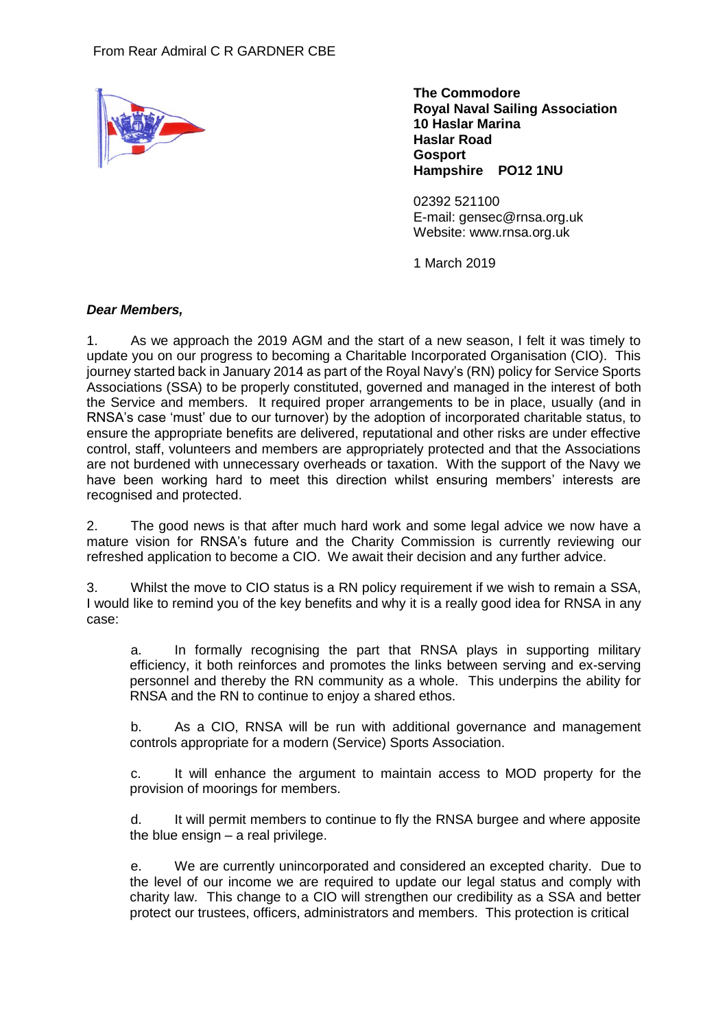

**The Commodore Royal Naval Sailing Association 10 Haslar Marina Haslar Road Gosport Hampshire PO12 1NU** 

02392 521100 E-mail: [gensec@rnsa.org.uk](mailto:gensec@rnsa.org.uk) Website: [www.rnsa.org.](http://www.rnsa.org/)uk

1 March 2019

## *Dear Members,*

1. As we approach the 2019 AGM and the start of a new season, I felt it was timely to update you on our progress to becoming a Charitable Incorporated Organisation (CIO). This journey started back in January 2014 as part of the Royal Navy's (RN) policy for Service Sports Associations (SSA) to be properly constituted, governed and managed in the interest of both the Service and members. It required proper arrangements to be in place, usually (and in RNSA's case 'must' due to our turnover) by the adoption of incorporated charitable status, to ensure the appropriate benefits are delivered, reputational and other risks are under effective control, staff, volunteers and members are appropriately protected and that the Associations are not burdened with unnecessary overheads or taxation. With the support of the Navy we have been working hard to meet this direction whilst ensuring members' interests are recognised and protected.

2. The good news is that after much hard work and some legal advice we now have a mature vision for RNSA's future and the Charity Commission is currently reviewing our refreshed application to become a CIO. We await their decision and any further advice.

3. Whilst the move to CIO status is a RN policy requirement if we wish to remain a SSA, I would like to remind you of the key benefits and why it is a really good idea for RNSA in any case:

a. In formally recognising the part that RNSA plays in supporting military efficiency, it both reinforces and promotes the links between serving and ex-serving personnel and thereby the RN community as a whole. This underpins the ability for RNSA and the RN to continue to enjoy a shared ethos.

b. As a CIO, RNSA will be run with additional governance and management controls appropriate for a modern (Service) Sports Association.

c. It will enhance the argument to maintain access to MOD property for the provision of moorings for members.

d. It will permit members to continue to fly the RNSA burgee and where apposite the blue ensign – a real privilege.

e. We are currently unincorporated and considered an excepted charity. Due to the level of our income we are required to update our legal status and comply with charity law. This change to a CIO will strengthen our credibility as a SSA and better protect our trustees, officers, administrators and members. This protection is critical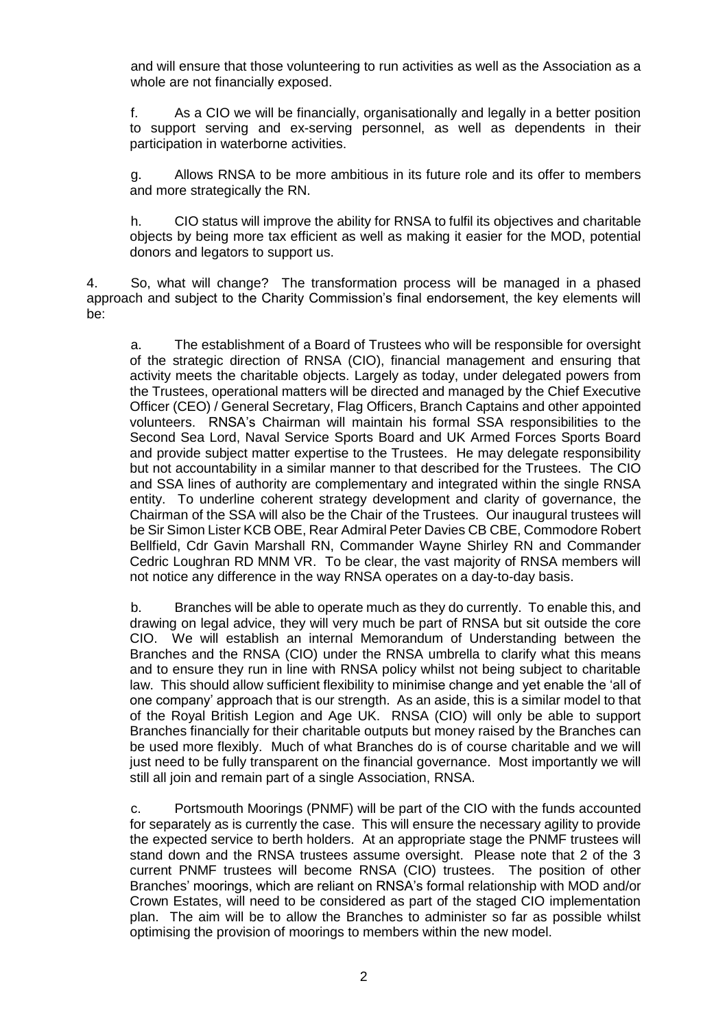and will ensure that those volunteering to run activities as well as the Association as a whole are not financially exposed.

f. As a CIO we will be financially, organisationally and legally in a better position to support serving and ex-serving personnel, as well as dependents in their participation in waterborne activities.

g. Allows RNSA to be more ambitious in its future role and its offer to members and more strategically the RN.

h. CIO status will improve the ability for RNSA to fulfil its objectives and charitable objects by being more tax efficient as well as making it easier for the MOD, potential donors and legators to support us.

4. So, what will change? The transformation process will be managed in a phased approach and subject to the Charity Commission's final endorsement, the key elements will be:

a. The establishment of a Board of Trustees who will be responsible for oversight of the strategic direction of RNSA (CIO), financial management and ensuring that activity meets the charitable objects. Largely as today, under delegated powers from the Trustees, operational matters will be directed and managed by the Chief Executive Officer (CEO) / General Secretary, Flag Officers, Branch Captains and other appointed volunteers. RNSA's Chairman will maintain his formal SSA responsibilities to the Second Sea Lord, Naval Service Sports Board and UK Armed Forces Sports Board and provide subject matter expertise to the Trustees. He may delegate responsibility but not accountability in a similar manner to that described for the Trustees. The CIO and SSA lines of authority are complementary and integrated within the single RNSA entity. To underline coherent strategy development and clarity of governance, the Chairman of the SSA will also be the Chair of the Trustees. Our inaugural trustees will be Sir Simon Lister KCB OBE, Rear Admiral Peter Davies CB CBE, Commodore Robert Bellfield, Cdr Gavin Marshall RN, Commander Wayne Shirley RN and Commander Cedric Loughran RD MNM VR. To be clear, the vast majority of RNSA members will not notice any difference in the way RNSA operates on a day-to-day basis.

b. Branches will be able to operate much as they do currently. To enable this, and drawing on legal advice, they will very much be part of RNSA but sit outside the core CIO. We will establish an internal Memorandum of Understanding between the Branches and the RNSA (CIO) under the RNSA umbrella to clarify what this means and to ensure they run in line with RNSA policy whilst not being subject to charitable law. This should allow sufficient flexibility to minimise change and yet enable the 'all of one company' approach that is our strength. As an aside, this is a similar model to that of the Royal British Legion and Age UK. RNSA (CIO) will only be able to support Branches financially for their charitable outputs but money raised by the Branches can be used more flexibly. Much of what Branches do is of course charitable and we will just need to be fully transparent on the financial governance. Most importantly we will still all join and remain part of a single Association, RNSA.

c. Portsmouth Moorings (PNMF) will be part of the CIO with the funds accounted for separately as is currently the case. This will ensure the necessary agility to provide the expected service to berth holders. At an appropriate stage the PNMF trustees will stand down and the RNSA trustees assume oversight. Please note that 2 of the 3 current PNMF trustees will become RNSA (CIO) trustees. The position of other Branches' moorings, which are reliant on RNSA's formal relationship with MOD and/or Crown Estates, will need to be considered as part of the staged CIO implementation plan. The aim will be to allow the Branches to administer so far as possible whilst optimising the provision of moorings to members within the new model.